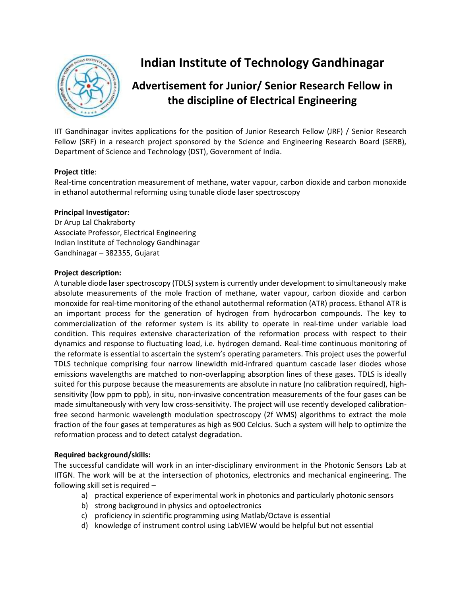

# **Indian Institute of Technology Gandhinagar**

# **Advertisement for Junior/ Senior Research Fellow in the discipline of Electrical Engineering**

IIT Gandhinagar invites applications for the position of Junior Research Fellow (JRF) / Senior Research Fellow (SRF) in a research project sponsored by the Science and Engineering Research Board (SERB), Department of Science and Technology (DST), Government of India.

# **Project title**:

Real-time concentration measurement of methane, water vapour, carbon dioxide and carbon monoxide in ethanol autothermal reforming using tunable diode laser spectroscopy

#### **Principal Investigator:**

Dr Arup Lal Chakraborty Associate Professor, Electrical Engineering Indian Institute of Technology Gandhinagar Gandhinagar – 382355, Gujarat

#### **Project description:**

A tunable diode laser spectroscopy (TDLS) system is currently under development to simultaneously make absolute measurements of the mole fraction of methane, water vapour, carbon dioxide and carbon monoxide for real-time monitoring of the ethanol autothermal reformation (ATR) process. Ethanol ATR is an important process for the generation of hydrogen from hydrocarbon compounds. The key to commercialization of the reformer system is its ability to operate in real-time under variable load condition. This requires extensive characterization of the reformation process with respect to their dynamics and response to fluctuating load, i.e. hydrogen demand. Real-time continuous monitoring of the reformate is essential to ascertain the system's operating parameters. This project uses the powerful TDLS technique comprising four narrow linewidth mid-infrared quantum cascade laser diodes whose emissions wavelengths are matched to non-overlapping absorption lines of these gases. TDLS is ideally suited for this purpose because the measurements are absolute in nature (no calibration required), highsensitivity (low ppm to ppb), in situ, non-invasive concentration measurements of the four gases can be made simultaneously with very low cross-sensitivity. The project will use recently developed calibrationfree second harmonic wavelength modulation spectroscopy (2f WMS) algorithms to extract the mole fraction of the four gases at temperatures as high as 900 Celcius. Such a system will help to optimize the reformation process and to detect catalyst degradation.

#### **Required background/skills:**

The successful candidate will work in an inter-disciplinary environment in the Photonic Sensors Lab at IITGN. The work will be at the intersection of photonics, electronics and mechanical engineering. The following skill set is required –

- a) practical experience of experimental work in photonics and particularly photonic sensors
- b) strong background in physics and optoelectronics
- c) proficiency in scientific programming using Matlab/Octave is essential
- d) knowledge of instrument control using LabVIEW would be helpful but not essential